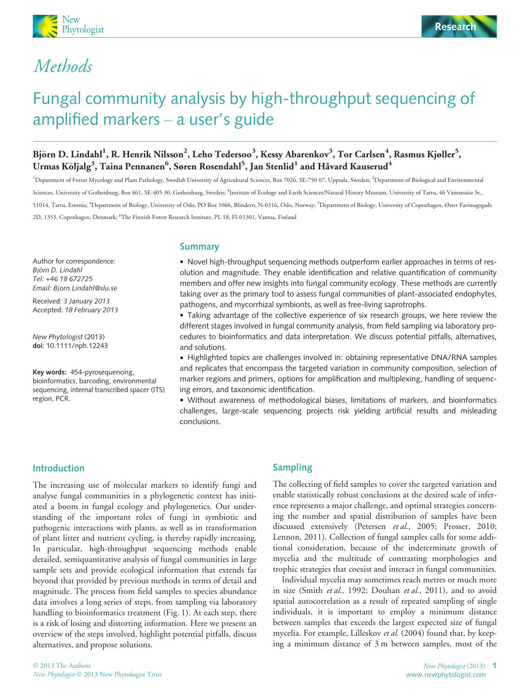



# Methods

# Fungal community analysis by high-throughput sequencing of amplified markers – a user's guide

# Björn D. Lindahl $^1$ , R. Henrik Nilsson $^2$ , Leho Tedersoo $^3$ , Kessy Abarenkov $^3$ , Tor Carlsen $^4$ , Rasmus Kjøller $^5$ , Urmas Kõljalg<sup>3</sup>, Taina Pennanen<sup>6</sup>, Søren Rosendahl<sup>5</sup>, Jan Stenlid<sup>1</sup> and Håvard Kauserud<sup>4</sup>

<sup>1</sup>Department of Forest Mycology and Plant Pathology, Swedish University of Agricultural Sciences, Box 7026, SE-750 07, Uppsala, Sweden; <sup>2</sup>Department of Biological and Environmental Sciences, University of Gothenburg, Box 461, SE-405 30, Gothenburg, Sweden; <sup>3</sup>Institute of Ecology and Earth Sciences/Natural History Museum, University of Tartu, 46 Vanemuise St., 51014, Tartu, Estonia; <sup>4</sup>Department of Biology, University of Oslo, PO Box 1066, Blindern, N-0316, Oslo, Norway; <sup>5</sup>Department of Biology, University of Copenhagen, Øster Farimagsgade 2D, 1353, Copenhagen, Denmark; <sup>6</sup>The Finnish Forest Research Institute, PL 18, FI-01301, Vantaa, Finland

Author for correspondence: Björn D. Lindahl Tel: +46 18 672725 Email: Bjorn.Lindahl@slu.se

Received: 3 January 2013 Accepted: 18 February 2013

New Phytologist (2013) doi: 10.1111/nph.12243

Key words: 454-pyrosequencing, bioinformatics, barcoding, environmental sequencing, internal transcribed spacer (ITS) region, PCR.

#### **Summary**

• Novel high-throughput sequencing methods outperform earlier approaches in terms of resolution and magnitude. They enable identification and relative quantification of community members and offer new insights into fungal community ecology. These methods are currently taking over as the primary tool to assess fungal communities of plant-associated endophytes, pathogens, and mycorrhizal symbionts, as well as free-living saprotrophs.

 Taking advantage of the collective experience of six research groups, we here review the different stages involved in fungal community analysis, from field sampling via laboratory procedures to bioinformatics and data interpretation. We discuss potential pitfalls, alternatives, and solutions.

 Highlighted topics are challenges involved in: obtaining representative DNA/RNA samples and replicates that encompass the targeted variation in community composition, selection of marker regions and primers, options for amplification and multiplexing, handling of sequencing errors, and taxonomic identification.

 Without awareness of methodological biases, limitations of markers, and bioinformatics challenges, large-scale sequencing projects risk yielding artificial results and misleading conclusions.

### Introduction

The increasing use of molecular markers to identify fungi and analyse fungal communities in a phylogenetic context has initiated a boom in fungal ecology and phylogenetics. Our understanding of the important roles of fungi in symbiotic and pathogenic interactions with plants, as well as in transformation of plant litter and nutrient cycling, is thereby rapidly increasing. In particular, high-throughput sequencing methods enable detailed, semiquantitative analysis of fungal communities in large sample sets and provide ecological information that extends far beyond that provided by previous methods in terms of detail and magnitude. The process from field samples to species abundance data involves a long series of steps, from sampling via laboratory handling to bioinformatics treatment (Fig. 1). At each step, there is a risk of losing and distorting information. Here we present an overview of the steps involved, highlight potential pitfalls, discuss alternatives, and propose solutions.

# Sampling

The collecting of field samples to cover the targeted variation and enable statistically robust conclusions at the desired scale of inference represents a major challenge, and optimal strategies concerning the number and spatial distribution of samples have been discussed extensively (Petersen et al., 2005; Prosser, 2010; Lennon, 2011). Collection of fungal samples calls for some additional consideration, because of the indeterminate growth of mycelia and the multitude of contrasting morphologies and trophic strategies that coexist and interact in fungal communities.

Individual mycelia may sometimes reach metres or much more in size (Smith et al., 1992; Douhan et al., 2011), and to avoid spatial autocorrelation as a result of repeated sampling of single individuals, it is important to employ a minimum distance between samples that exceeds the largest expected size of fungal mycelia. For example, Lilleskov et al. (2004) found that, by keeping a minimum distance of 3 m between samples, most of the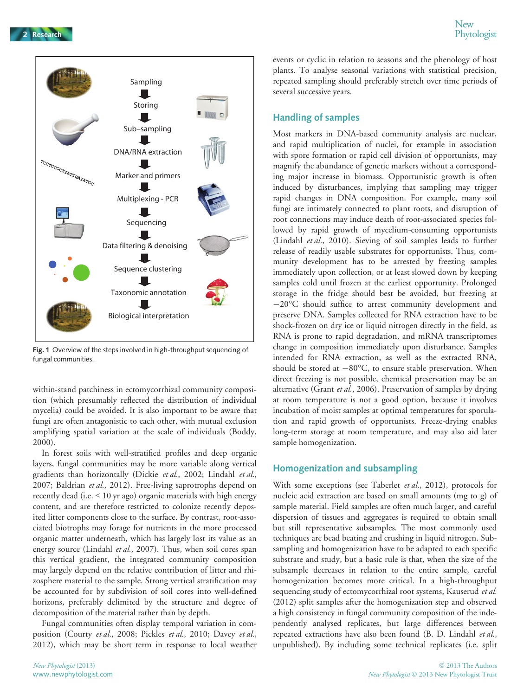

Fig. 1 Overview of the steps involved in high-throughput sequencing of fungal communities.

within-stand patchiness in ectomycorrhizal community composition (which presumably reflected the distribution of individual mycelia) could be avoided. It is also important to be aware that fungi are often antagonistic to each other, with mutual exclusion amplifying spatial variation at the scale of individuals (Boddy, 2000).

In forest soils with well-stratified profiles and deep organic layers, fungal communities may be more variable along vertical gradients than horizontally (Dickie et al., 2002; Lindahl et al., 2007; Baldrian et al., 2012). Free-living saprotrophs depend on recently dead (i.e. < 10 yr ago) organic materials with high energy content, and are therefore restricted to colonize recently deposited litter components close to the surface. By contrast, root-associated biotrophs may forage for nutrients in the more processed organic matter underneath, which has largely lost its value as an energy source (Lindahl et al., 2007). Thus, when soil cores span this vertical gradient, the integrated community composition may largely depend on the relative contribution of litter and rhizosphere material to the sample. Strong vertical stratification may be accounted for by subdivision of soil cores into well-defined horizons, preferably delimited by the structure and degree of decomposition of the material rather than by depth.

Fungal communities often display temporal variation in composition (Courty et al., 2008; Pickles et al., 2010; Davey et al., 2012), which may be short term in response to local weather

events or cyclic in relation to seasons and the phenology of host plants. To analyse seasonal variations with statistical precision, repeated sampling should preferably stretch over time periods of several successive years.

## Handling of samples

Most markers in DNA-based community analysis are nuclear, and rapid multiplication of nuclei, for example in association with spore formation or rapid cell division of opportunists, may magnify the abundance of genetic markers without a corresponding major increase in biomass. Opportunistic growth is often induced by disturbances, implying that sampling may trigger rapid changes in DNA composition. For example, many soil fungi are intimately connected to plant roots, and disruption of root connections may induce death of root-associated species followed by rapid growth of mycelium-consuming opportunists (Lindahl et al., 2010). Sieving of soil samples leads to further release of readily usable substrates for opportunists. Thus, community development has to be arrested by freezing samples immediately upon collection, or at least slowed down by keeping samples cold until frozen at the earliest opportunity. Prolonged storage in the fridge should best be avoided, but freezing at -20°C should suffice to arrest community development and preserve DNA. Samples collected for RNA extraction have to be shock-frozen on dry ice or liquid nitrogen directly in the field, as RNA is prone to rapid degradation, and mRNA transcriptomes change in composition immediately upon disturbance. Samples intended for RNA extraction, as well as the extracted RNA, should be stored at  $-80^{\circ}$ C, to ensure stable preservation. When direct freezing is not possible, chemical preservation may be an alternative (Grant et al., 2006). Preservation of samples by drying at room temperature is not a good option, because it involves incubation of moist samples at optimal temperatures for sporulation and rapid growth of opportunists. Freeze-drying enables long-term storage at room temperature, and may also aid later sample homogenization.

# Homogenization and subsampling

With some exceptions (see Taberlet et al., 2012), protocols for nucleic acid extraction are based on small amounts (mg to g) of sample material. Field samples are often much larger, and careful dispersion of tissues and aggregates is required to obtain small but still representative subsamples. The most commonly used techniques are bead beating and crushing in liquid nitrogen. Subsampling and homogenization have to be adapted to each specific substrate and study, but a basic rule is that, when the size of the subsample decreases in relation to the entire sample, careful homogenization becomes more critical. In a high-throughput sequencing study of ectomycorrhizal root systems, Kauserud et al. (2012) split samples after the homogenization step and observed a high consistency in fungal community composition of the independently analysed replicates, but large differences between repeated extractions have also been found (B. D. Lindahl et al., unpublished). By including some technical replicates (i.e. split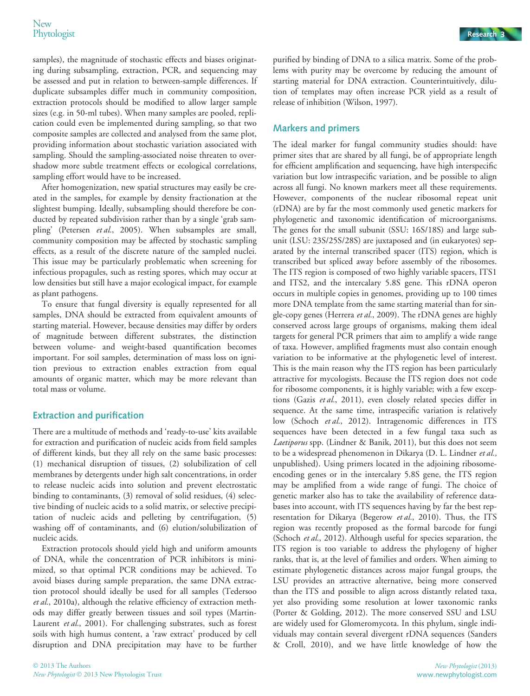samples), the magnitude of stochastic effects and biases originating during subsampling, extraction, PCR, and sequencing may be assessed and put in relation to between-sample differences. If duplicate subsamples differ much in community composition, extraction protocols should be modified to allow larger sample sizes (e.g. in 50-ml tubes). When many samples are pooled, replication could even be implemented during sampling, so that two composite samples are collected and analysed from the same plot, providing information about stochastic variation associated with sampling. Should the sampling-associated noise threaten to overshadow more subtle treatment effects or ecological correlations, sampling effort would have to be increased.

After homogenization, new spatial structures may easily be created in the samples, for example by density fractionation at the slightest bumping. Ideally, subsampling should therefore be conducted by repeated subdivision rather than by a single 'grab sampling' (Petersen et al., 2005). When subsamples are small, community composition may be affected by stochastic sampling effects, as a result of the discrete nature of the sampled nuclei. This issue may be particularly problematic when screening for infectious propagules, such as resting spores, which may occur at low densities but still have a major ecological impact, for example as plant pathogens.

To ensure that fungal diversity is equally represented for all samples, DNA should be extracted from equivalent amounts of starting material. However, because densities may differ by orders of magnitude between different substrates, the distinction between volume- and weight-based quantification becomes important. For soil samples, determination of mass loss on ignition previous to extraction enables extraction from equal amounts of organic matter, which may be more relevant than total mass or volume.

### Extraction and purification

There are a multitude of methods and 'ready-to-use' kits available for extraction and purification of nucleic acids from field samples of different kinds, but they all rely on the same basic processes: (1) mechanical disruption of tissues, (2) solubilization of cell membranes by detergents under high salt concentrations, in order to release nucleic acids into solution and prevent electrostatic binding to contaminants, (3) removal of solid residues, (4) selective binding of nucleic acids to a solid matrix, or selective precipitation of nucleic acids and pelleting by centrifugation, (5) washing off of contaminants, and (6) elution/solubilization of nucleic acids.

Extraction protocols should yield high and uniform amounts of DNA, while the concentration of PCR inhibitors is minimized, so that optimal PCR conditions may be achieved. To avoid biases during sample preparation, the same DNA extraction protocol should ideally be used for all samples (Tedersoo et al., 2010a), although the relative efficiency of extraction methods may differ greatly between tissues and soil types (Martin-Laurent et al., 2001). For challenging substrates, such as forest soils with high humus content, a 'raw extract' produced by cell disruption and DNA precipitation may have to be further

purified by binding of DNA to a silica matrix. Some of the problems with purity may be overcome by reducing the amount of starting material for DNA extraction. Counterintuitively, dilution of templates may often increase PCR yield as a result of release of inhibition (Wilson, 1997).

#### Markers and primers

The ideal marker for fungal community studies should: have primer sites that are shared by all fungi, be of appropriate length for efficient amplification and sequencing, have high interspecific variation but low intraspecific variation, and be possible to align across all fungi. No known markers meet all these requirements. However, components of the nuclear ribosomal repeat unit (rDNA) are by far the most commonly used genetic markers for phylogenetic and taxonomic identification of microorganisms. The genes for the small subunit (SSU: 16S/18S) and large subunit (LSU: 23S/25S/28S) are juxtaposed and (in eukaryotes) separated by the internal transcribed spacer (ITS) region, which is transcribed but spliced away before assembly of the ribosomes. The ITS region is composed of two highly variable spacers, ITS1 and ITS2, and the intercalary 5.8S gene. This rDNA operon occurs in multiple copies in genomes, providing up to 100 times more DNA template from the same starting material than for single-copy genes (Herrera et al., 2009). The rDNA genes are highly conserved across large groups of organisms, making them ideal targets for general PCR primers that aim to amplify a wide range of taxa. However, amplified fragments must also contain enough variation to be informative at the phylogenetic level of interest. This is the main reason why the ITS region has been particularly attractive for mycologists. Because the ITS region does not code for ribosome components, it is highly variable; with a few exceptions (Gazis et al., 2011), even closely related species differ in sequence. At the same time, intraspecific variation is relatively low (Schoch et al., 2012). Intragenomic differences in ITS sequences have been detected in a few fungal taxa such as Laetiporus spp. (Lindner & Banik, 2011), but this does not seem to be a widespread phenomenon in Dikarya (D. L. Lindner et al., unpublished). Using primers located in the adjoining ribosomeencoding genes or in the intercalary 5.8S gene, the ITS region may be amplified from a wide range of fungi. The choice of genetic marker also has to take the availability of reference databases into account, with ITS sequences having by far the best representation for Dikarya (Begerow et al., 2010). Thus, the ITS region was recently proposed as the formal barcode for fungi (Schoch et al., 2012). Although useful for species separation, the ITS region is too variable to address the phylogeny of higher ranks, that is, at the level of families and orders. When aiming to estimate phylogenetic distances across major fungal groups, the LSU provides an attractive alternative, being more conserved than the ITS and possible to align across distantly related taxa, yet also providing some resolution at lower taxonomic ranks (Porter & Golding, 2012). The more conserved SSU and LSU are widely used for Glomeromycota. In this phylum, single individuals may contain several divergent rDNA sequences (Sanders & Croll, 2010), and we have little knowledge of how the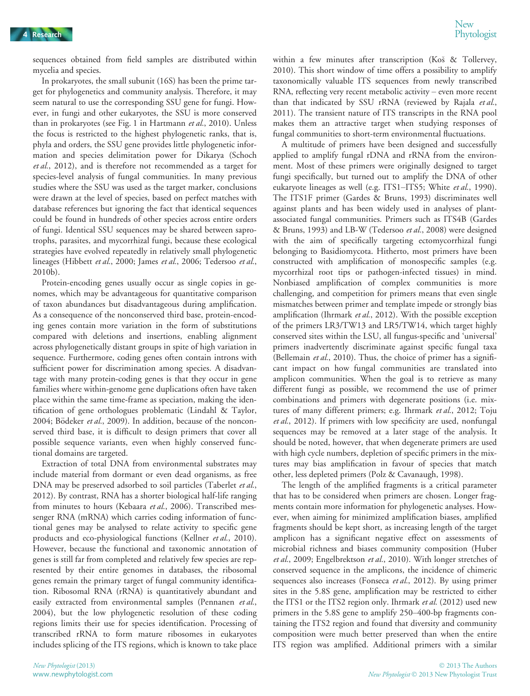sequences obtained from field samples are distributed within mycelia and species.

In prokaryotes, the small subunit (16S) has been the prime target for phylogenetics and community analysis. Therefore, it may seem natural to use the corresponding SSU gene for fungi. However, in fungi and other eukaryotes, the SSU is more conserved than in prokaryotes (see Fig. 1 in Hartmann et al., 2010). Unless the focus is restricted to the highest phylogenetic ranks, that is, phyla and orders, the SSU gene provides little phylogenetic information and species delimitation power for Dikarya (Schoch et al., 2012), and is therefore not recommended as a target for species-level analysis of fungal communities. In many previous studies where the SSU was used as the target marker, conclusions were drawn at the level of species, based on perfect matches with database references but ignoring the fact that identical sequences could be found in hundreds of other species across entire orders of fungi. Identical SSU sequences may be shared between saprotrophs, parasites, and mycorrhizal fungi, because these ecological strategies have evolved repeatedly in relatively small phylogenetic lineages (Hibbett et al., 2000; James et al., 2006; Tedersoo et al., 2010b).

Protein-encoding genes usually occur as single copies in genomes, which may be advantageous for quantitative comparison of taxon abundances but disadvantageous during amplification. As a consequence of the nonconserved third base, protein-encoding genes contain more variation in the form of substitutions compared with deletions and insertions, enabling alignment across phylogenetically distant groups in spite of high variation in sequence. Furthermore, coding genes often contain introns with sufficient power for discrimination among species. A disadvantage with many protein-coding genes is that they occur in gene families where within-genome gene duplications often have taken place within the same time-frame as speciation, making the identification of gene orthologues problematic (Lindahl & Taylor, 2004; Bödeker et al., 2009). In addition, because of the nonconserved third base, it is difficult to design primers that cover all possible sequence variants, even when highly conserved functional domains are targeted.

Extraction of total DNA from environmental substrates may include material from dormant or even dead organisms, as free DNA may be preserved adsorbed to soil particles (Taberlet et al., 2012). By contrast, RNA has a shorter biological half-life ranging from minutes to hours (Kebaara et al., 2006). Transcribed messenger RNA (mRNA) which carries coding information of functional genes may be analysed to relate activity to specific gene products and eco-physiological functions (Kellner et al., 2010). However, because the functional and taxonomic annotation of genes is still far from completed and relatively few species are represented by their entire genomes in databases, the ribosomal genes remain the primary target of fungal community identification. Ribosomal RNA (rRNA) is quantitatively abundant and easily extracted from environmental samples (Pennanen et al., 2004), but the low phylogenetic resolution of these coding regions limits their use for species identification. Processing of transcribed rRNA to form mature ribosomes in eukaryotes includes splicing of the ITS regions, which is known to take place

within a few minutes after transcription (Koš & Tollervey, 2010). This short window of time offers a possibility to amplify taxonomically valuable ITS sequences from newly transcribed RNA, reflecting very recent metabolic activity – even more recent than that indicated by SSU rRNA (reviewed by Rajala et al., 2011). The transient nature of ITS transcripts in the RNA pool makes them an attractive target when studying responses of fungal communities to short-term environmental fluctuations.

A multitude of primers have been designed and successfully applied to amplify fungal rDNA and rRNA from the environment. Most of these primers were originally designed to target fungi specifically, but turned out to amplify the DNA of other eukaryote lineages as well (e.g. ITS1-ITS5; White et al., 1990). The ITS1F primer (Gardes & Bruns, 1993) discriminates well against plants and has been widely used in analyses of plantassociated fungal communities. Primers such as ITS4B (Gardes & Bruns, 1993) and LB-W (Tedersoo et al., 2008) were designed with the aim of specifically targeting ectomycorrhizal fungi belonging to Basidiomycota. Hitherto, most primers have been constructed with amplification of monospecific samples (e.g. mycorrhizal root tips or pathogen-infected tissues) in mind. Nonbiased amplification of complex communities is more challenging, and competition for primers means that even single mismatches between primer and template impede or strongly bias amplification (Ihrmark et al., 2012). With the possible exception of the primers LR3/TW13 and LR5/TW14, which target highly conserved sites within the LSU, all fungus-specific and 'universal' primers inadvertently discriminate against specific fungal taxa (Bellemain et al., 2010). Thus, the choice of primer has a significant impact on how fungal communities are translated into amplicon communities. When the goal is to retrieve as many different fungi as possible, we recommend the use of primer combinations and primers with degenerate positions (i.e. mixtures of many different primers; e.g. Ihrmark et al., 2012; Toju et al., 2012). If primers with low specificity are used, nonfungal sequences may be removed at a later stage of the analysis. It should be noted, however, that when degenerate primers are used with high cycle numbers, depletion of specific primers in the mixtures may bias amplification in favour of species that match other, less depleted primers (Polz & Cavanaugh, 1998).

The length of the amplified fragments is a critical parameter that has to be considered when primers are chosen. Longer fragments contain more information for phylogenetic analyses. However, when aiming for minimized amplification biases, amplified fragments should be kept short, as increasing length of the target amplicon has a significant negative effect on assessments of microbial richness and biases community composition (Huber et al., 2009; Engelbrektson et al., 2010). With longer stretches of conserved sequence in the amplicons, the incidence of chimeric sequences also increases (Fonseca et al., 2012). By using primer sites in the 5.8S gene, amplification may be restricted to either the ITS1 or the ITS2 region only. Ihrmark et al. (2012) used new primers in the 5.8S gene to amplify 250–400-bp fragments containing the ITS2 region and found that diversity and community composition were much better preserved than when the entire ITS region was amplified. Additional primers with a similar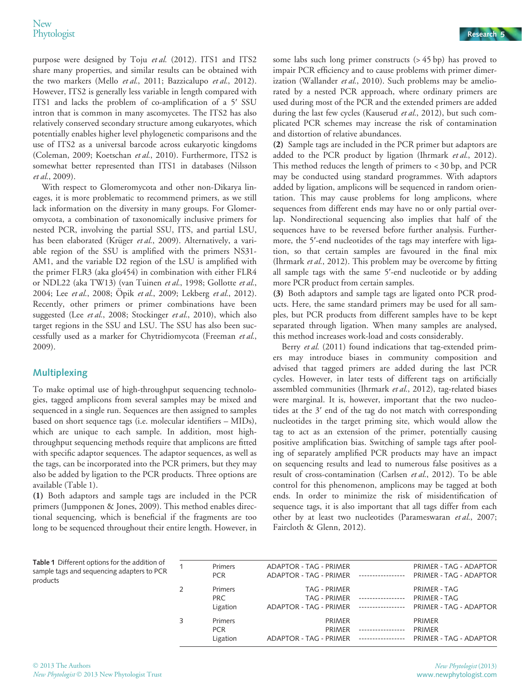purpose were designed by Toju et al. (2012). ITS1 and ITS2 share many properties, and similar results can be obtained with the two markers (Mello et al., 2011; Bazzicalupo et al., 2012). However, ITS2 is generally less variable in length compared with ITS1 and lacks the problem of co-amplification of a 5′ SSU intron that is common in many ascomycetes. The ITS2 has also relatively conserved secondary structure among eukaryotes, which potentially enables higher level phylogenetic comparisons and the use of ITS2 as a universal barcode across eukaryotic kingdoms (Coleman, 2009; Koetschan et al., 2010). Furthermore, ITS2 is somewhat better represented than ITS1 in databases (Nilsson et al., 2009).

With respect to Glomeromycota and other non-Dikarya lineages, it is more problematic to recommend primers, as we still lack information on the diversity in many groups. For Glomeromycota, a combination of taxonomically inclusive primers for nested PCR, involving the partial SSU, ITS, and partial LSU, has been elaborated (Krüger et al., 2009). Alternatively, a variable region of the SSU is amplified with the primers NS31- AM1, and the variable D2 region of the LSU is amplified with the primer FLR3 (aka glo454) in combination with either FLR4 or NDL22 (aka TW13) (van Tuinen et al., 1998; Gollotte et al., 2004; Lee et al., 2008; Opik et al., 2009; Lekberg et al., 2012). Recently, other primers or primer combinations have been suggested (Lee et al., 2008; Stockinger et al., 2010), which also target regions in the SSU and LSU. The SSU has also been successfully used as a marker for Chytridiomycota (Freeman et al., 2009).

### Multiplexing

To make optimal use of high-throughput sequencing technologies, tagged amplicons from several samples may be mixed and sequenced in a single run. Sequences are then assigned to samples based on short sequence tags (i.e. molecular identifiers – MIDs), which are unique to each sample. In addition, most highthroughput sequencing methods require that amplicons are fitted with specific adaptor sequences. The adaptor sequences, as well as the tags, can be incorporated into the PCR primers, but they may also be added by ligation to the PCR products. Three options are available (Table 1).

(1) Both adaptors and sample tags are included in the PCR primers (Jumpponen & Jones, 2009). This method enables directional sequencing, which is beneficial if the fragments are too long to be sequenced throughout their entire length. However, in

some labs such long primer constructs (> 45 bp) has proved to impair PCR efficiency and to cause problems with primer dimerization (Wallander et al., 2010). Such problems may be ameliorated by a nested PCR approach, where ordinary primers are used during most of the PCR and the extended primers are added during the last few cycles (Kauserud et al., 2012), but such complicated PCR schemes may increase the risk of contamination and distortion of relative abundances.

(2) Sample tags are included in the PCR primer but adaptors are added to the PCR product by ligation (Ihrmark et al., 2012). This method reduces the length of primers to < 30 bp, and PCR may be conducted using standard programmes. With adaptors added by ligation, amplicons will be sequenced in random orientation. This may cause problems for long amplicons, where sequences from different ends may have no or only partial overlap. Nondirectional sequencing also implies that half of the sequences have to be reversed before further analysis. Furthermore, the 5′-end nucleotides of the tags may interfere with ligation, so that certain samples are favoured in the final mix (Ihrmark et al., 2012). This problem may be overcome by fitting all sample tags with the same 5′-end nucleotide or by adding more PCR product from certain samples.

(3) Both adaptors and sample tags are ligated onto PCR products. Here, the same standard primers may be used for all samples, but PCR products from different samples have to be kept separated through ligation. When many samples are analysed, this method increases work-load and costs considerably.

Berry et al. (2011) found indications that tag-extended primers may introduce biases in community composition and advised that tagged primers are added during the last PCR cycles. However, in later tests of different tags on artificially assembled communities (Ihrmark et al., 2012), tag-related biases were marginal. It is, however, important that the two nucleotides at the 3′ end of the tag do not match with corresponding nucleotides in the target priming site, which would allow the tag to act as an extension of the primer, potentially causing positive amplification bias. Switching of sample tags after pooling of separately amplified PCR products may have an impact on sequencing results and lead to numerous false positives as a result of cross-contamination (Carlsen et al., 2012). To be able control for this phenomenon, amplicons may be tagged at both ends. In order to minimize the risk of misidentification of sequence tags, it is also important that all tags differ from each other by at least two nucleotides (Parameswaran et al., 2007; Faircloth & Glenn, 2012).

Table 1 Different options for the addition of sample tags and sequencing adapters to PCR products 1 Primers ADAPTOR - TAG - PRIMER PRIMER PRIMER - TAG - ADAPTOR PCR ADAPTOR - TAG - PRIMER ----------------- PRIMER - TAG - ADAPTOR 2 Primers TAG - PRIMER PRIMER - TAG PRC TAG - PRIMER ---------------- PRIMER - TAG Ligation ADAPTOR - TAG - PRIMER ----------------- PRIMER - TAG - ADAPTOR 3 Primers PRIMER PRIMER PCR PRIMER ----------------- PRIMER Ligation ADAPTOR - TAG - PRIMER ----------------- PRIMER - TAG - ADAPTOR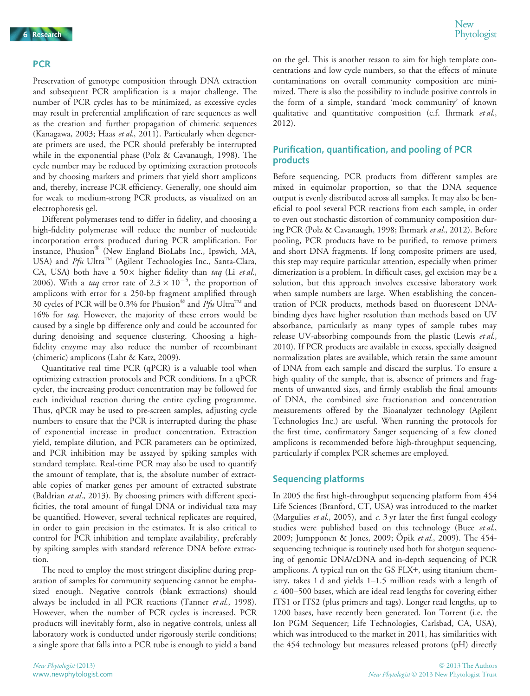#### **PCR**

Preservation of genotype composition through DNA extraction and subsequent PCR amplification is a major challenge. The number of PCR cycles has to be minimized, as excessive cycles may result in preferential amplification of rare sequences as well as the creation and further propagation of chimeric sequences (Kanagawa, 2003; Haas et al., 2011). Particularly when degenerate primers are used, the PCR should preferably be interrupted while in the exponential phase (Polz & Cavanaugh, 1998). The cycle number may be reduced by optimizing extraction protocols and by choosing markers and primers that yield short amplicons and, thereby, increase PCR efficiency. Generally, one should aim for weak to medium-strong PCR products, as visualized on an electrophoresis gel.

Different polymerases tend to differ in fidelity, and choosing a high-fidelity polymerase will reduce the number of nucleotide incorporation errors produced during PCR amplification. For instance, Phusion® (New England BioLabs Inc., Ipswich, MA, USA) and  $Pfu$  Ultra<sup>TM</sup> (Agilent Technologies Inc., Santa-Clara, CA, USA) both have a  $50 \times$  higher fidelity than taq (Li et al., 2006). With a *taq* error rate of  $2.3 \times 10^{-5}$ , the proportion of amplicons with error for a 250-bp fragment amplified through 30 cycles of PCR will be 0.3% for Phusion<sup>®</sup> and  $Pfu$  Ultra<sup>™</sup> and 16% for taq. However, the majority of these errors would be caused by a single bp difference only and could be accounted for during denoising and sequence clustering. Choosing a highfidelity enzyme may also reduce the number of recombinant (chimeric) amplicons (Lahr & Katz, 2009).

Quantitative real time PCR (qPCR) is a valuable tool when optimizing extraction protocols and PCR conditions. In a qPCR cycler, the increasing product concentration may be followed for each individual reaction during the entire cycling programme. Thus, qPCR may be used to pre-screen samples, adjusting cycle numbers to ensure that the PCR is interrupted during the phase of exponential increase in product concentration. Extraction yield, template dilution, and PCR parameters can be optimized, and PCR inhibition may be assayed by spiking samples with standard template. Real-time PCR may also be used to quantify the amount of template, that is, the absolute number of extractable copies of marker genes per amount of extracted substrate (Baldrian et al., 2013). By choosing primers with different specificities, the total amount of fungal DNA or individual taxa may be quantified. However, several technical replicates are required, in order to gain precision in the estimates. It is also critical to control for PCR inhibition and template availability, preferably by spiking samples with standard reference DNA before extraction.

The need to employ the most stringent discipline during preparation of samples for community sequencing cannot be emphasized enough. Negative controls (blank extractions) should always be included in all PCR reactions (Tanner et al., 1998). However, when the number of PCR cycles is increased, PCR products will inevitably form, also in negative controls, unless all laboratory work is conducted under rigorously sterile conditions; a single spore that falls into a PCR tube is enough to yield a band

on the gel. This is another reason to aim for high template concentrations and low cycle numbers, so that the effects of minute contaminations on overall community composition are minimized. There is also the possibility to include positive controls in the form of a simple, standard 'mock community' of known qualitative and quantitative composition (c.f. Ihrmark et al., 2012).

#### Purification, quantification, and pooling of PCR products

Before sequencing, PCR products from different samples are mixed in equimolar proportion, so that the DNA sequence output is evenly distributed across all samples. It may also be beneficial to pool several PCR reactions from each sample, in order to even out stochastic distortion of community composition during PCR (Polz & Cavanaugh, 1998; Ihrmark et al., 2012). Before pooling, PCR products have to be purified, to remove primers and short DNA fragments. If long composite primers are used, this step may require particular attention, especially when primer dimerization is a problem. In difficult cases, gel excision may be a solution, but this approach involves excessive laboratory work when sample numbers are large. When establishing the concentration of PCR products, methods based on fluorescent DNAbinding dyes have higher resolution than methods based on UV absorbance, particularly as many types of sample tubes may release UV-absorbing compounds from the plastic (Lewis et al., 2010). If PCR products are available in excess, specially designed normalization plates are available, which retain the same amount of DNA from each sample and discard the surplus. To ensure a high quality of the sample, that is, absence of primers and fragments of unwanted sizes, and firmly establish the final amounts of DNA, the combined size fractionation and concentration measurements offered by the Bioanalyzer technology (Agilent Technologies Inc.) are useful. When running the protocols for the first time, confirmatory Sanger sequencing of a few cloned amplicons is recommended before high-throughput sequencing, particularly if complex PCR schemes are employed.

#### Sequencing platforms

In 2005 the first high-throughput sequencing platform from 454 Life Sciences (Branford, CT, USA) was introduced to the market (Margulies et al., 2005), and  $c$ . 3 yr later the first fungal ecology studies were published based on this technology (Buee et al., 2009; Jumpponen & Jones, 2009; Opik et al., 2009). The 454sequencing technique is routinely used both for shotgun sequencing of genomic DNA/cDNA and in-depth sequencing of PCR amplicons. A typical run on the GS FLX+, using titanium chemistry, takes 1 d and yields 1–1.5 million reads with a length of c. 400–500 bases, which are ideal read lengths for covering either ITS1 or ITS2 (plus primers and tags). Longer read lengths, up to 1200 bases, have recently been generated. Ion Torrent (i.e. the Ion PGM Sequencer; Life Technologies, Carlsbad, CA, USA), which was introduced to the market in 2011, has similarities with the 454 technology but measures released protons (pH) directly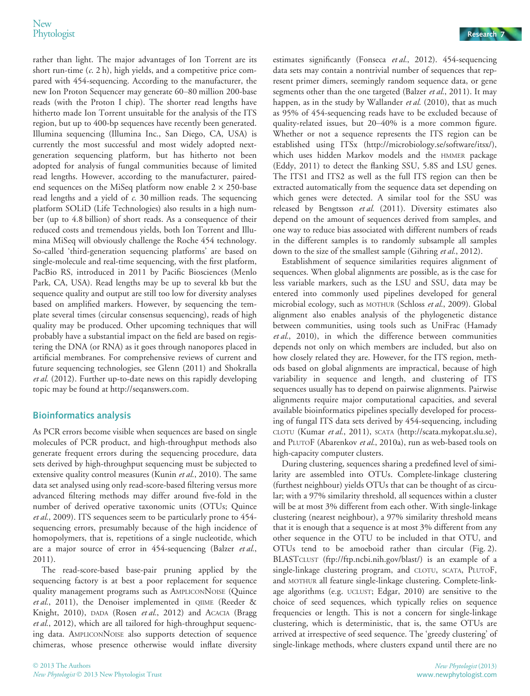rather than light. The major advantages of Ion Torrent are its short run-time  $(c. 2 h)$ , high yields, and a competitive price compared with 454-sequencing. According to the manufacturer, the new Ion Proton Sequencer may generate 60–80 million 200-base reads (with the Proton I chip). The shorter read lengths have hitherto made Ion Torrent unsuitable for the analysis of the ITS region, but up to 400-bp sequences have recently been generated. Illumina sequencing (Illumina Inc., San Diego, CA, USA) is currently the most successful and most widely adopted nextgeneration sequencing platform, but has hitherto not been adopted for analysis of fungal communities because of limited read lengths. However, according to the manufacturer, pairedend sequences on the MiSeq platform now enable  $2 \times 250$ -base read lengths and a yield of  $c$ . 30 million reads. The sequencing platform SOLiD (Life Technologies) also results in a high number (up to 4.8 billion) of short reads. As a consequence of their reduced costs and tremendous yields, both Ion Torrent and Illumina MiSeq will obviously challenge the Roche 454 technology. So-called 'third-generation sequencing platforms' are based on single-molecule and real-time sequencing, with the first platform, PacBio RS, introduced in 2011 by Pacific Biosciences (Menlo Park, CA, USA). Read lengths may be up to several kb but the sequence quality and output are still too low for diversity analyses based on amplified markers. However, by sequencing the template several times (circular consensus sequencing), reads of high quality may be produced. Other upcoming techniques that will probably have a substantial impact on the field are based on registering the DNA (or RNA) as it goes through nanopores placed in artificial membranes. For comprehensive reviews of current and future sequencing technologies, see Glenn (2011) and Shokralla et al. (2012). Further up-to-date news on this rapidly developing topic may be found at http://seqanswers.com.

### Bioinformatics analysis

As PCR errors become visible when sequences are based on single molecules of PCR product, and high-throughput methods also generate frequent errors during the sequencing procedure, data sets derived by high-throughput sequencing must be subjected to extensive quality control measures (Kunin et al., 2010). The same data set analysed using only read-score-based filtering versus more advanced filtering methods may differ around five-fold in the number of derived operative taxonomic units (OTUs; Quince et al., 2009). ITS sequences seem to be particularly prone to 454 sequencing errors, presumably because of the high incidence of homopolymers, that is, repetitions of a single nucleotide, which are a major source of error in 454-sequencing (Balzer et al., 2011).

The read-score-based base-pair pruning applied by the sequencing factory is at best a poor replacement for sequence quality management programs such as AMPLICONNOISE (Quince et al., 2011), the Denoiser implemented in QIIME (Reeder & Knight, 2010), DADA (Rosen et al., 2012) and ACACIA (Bragg et al., 2012), which are all tailored for high-throughput sequencing data. AMPLICONNOISE also supports detection of sequence chimeras, whose presence otherwise would inflate diversity



estimates significantly (Fonseca et al., 2012). 454-sequencing data sets may contain a nontrivial number of sequences that represent primer dimers, seemingly random sequence data, or gene segments other than the one targeted (Balzer et al., 2011). It may happen, as in the study by Wallander et al. (2010), that as much as 95% of 454-sequencing reads have to be excluded because of quality-related issues, but 20–40% is a more common figure. Whether or not a sequence represents the ITS region can be established using ITSx (http://microbiology.se/software/itsx/), which uses hidden Markov models and the HMMER package (Eddy, 2011) to detect the flanking SSU, 5.8S and LSU genes. The ITS1 and ITS2 as well as the full ITS region can then be extracted automatically from the sequence data set depending on which genes were detected. A similar tool for the SSU was released by Bengtsson et al. (2011). Diversity estimates also depend on the amount of sequences derived from samples, and one way to reduce bias associated with different numbers of reads in the different samples is to randomly subsample all samples down to the size of the smallest sample (Gihring et al., 2012).

Establishment of sequence similarities requires alignment of sequences. When global alignments are possible, as is the case for less variable markers, such as the LSU and SSU, data may be entered into commonly used pipelines developed for general microbial ecology, such as MOTHUR (Schloss et al., 2009). Global alignment also enables analysis of the phylogenetic distance between communities, using tools such as UniFrac (Hamady et al., 2010), in which the difference between communities depends not only on which members are included, but also on how closely related they are. However, for the ITS region, methods based on global alignments are impractical, because of high variability in sequence and length, and clustering of ITS sequences usually has to depend on pairwise alignments. Pairwise alignments require major computational capacities, and several available bioinformatics pipelines specially developed for processing of fungal ITS data sets derived by 454-sequencing, including CLOTU (Kumar et al., 2011), SCATA (http://scata.mykopat.slu.se), and PLUTOF (Abarenkov et al., 2010a), run as web-based tools on high-capacity computer clusters.

During clustering, sequences sharing a predefined level of similarity are assembled into OTUs. Complete-linkage clustering (furthest neighbour) yields OTUs that can be thought of as circular; with a 97% similarity threshold, all sequences within a cluster will be at most 3% different from each other. With single-linkage clustering (nearest neighbour), a 97% similarity threshold means that it is enough that a sequence is at most 3% different from any other sequence in the OTU to be included in that OTU, and OTUs tend to be amoeboid rather than circular (Fig. 2). BLASTCLUST (ftp://ftp.ncbi.nih.gov/blast/) is an example of a single-linkage clustering program, and CLOTU, SCATA, PLUTOF, and MOTHUR all feature single-linkage clustering. Complete-linkage algorithms (e.g. UCLUST; Edgar, 2010) are sensitive to the choice of seed sequences, which typically relies on sequence frequencies or length. This is not a concern for single-linkage clustering, which is deterministic, that is, the same OTUs are arrived at irrespective of seed sequence. The 'greedy clustering' of single-linkage methods, where clusters expand until there are no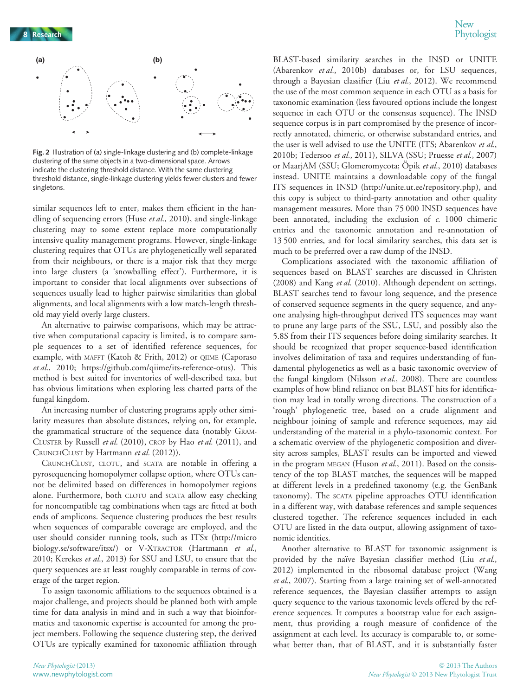

Fig. 2 Illustration of (a) single-linkage clustering and (b) complete-linkage clustering of the same objects in a two-dimensional space. Arrows indicate the clustering threshold distance. With the same clustering threshold distance, single-linkage clustering yields fewer clusters and fewer singletons.

similar sequences left to enter, makes them efficient in the handling of sequencing errors (Huse  $et al$ , 2010), and single-linkage clustering may to some extent replace more computationally intensive quality management programs. However, single-linkage clustering requires that OTUs are phylogenetically well separated from their neighbours, or there is a major risk that they merge into large clusters (a 'snowballing effect'). Furthermore, it is important to consider that local alignments over subsections of sequences usually lead to higher pairwise similarities than global alignments, and local alignments with a low match-length threshold may yield overly large clusters.

An alternative to pairwise comparisons, which may be attractive when computational capacity is limited, is to compare sample sequences to a set of identified reference sequences, for example, with MAFFT (Katoh & Frith, 2012) or QIIME (Caporaso et al., 2010; https://github.com/qiime/its-reference-otus). This method is best suited for inventories of well-described taxa, but has obvious limitations when exploring less charted parts of the fungal kingdom.

An increasing number of clustering programs apply other similarity measures than absolute distances, relying on, for example, the grammatical structure of the sequence data (notably GRAM-CLUSTER by Russell et al. (2010), CROP by Hao et al. (2011), and CRUNCHCLUST by Hartmann et al. (2012)).

CRUNCHCLUST, CLOTU, and SCATA are notable in offering a pyrosequencing homopolymer collapse option, where OTUs cannot be delimited based on differences in homopolymer regions alone. Furthermore, both CLOTU and SCATA allow easy checking for noncompatible tag combinations when tags are fitted at both ends of amplicons. Sequence clustering produces the best results when sequences of comparable coverage are employed, and the user should consider running tools, such as ITSx (http://micro biology.se/software/itsx/) or V-XTRACTOR (Hartmann et al., 2010; Kerekes et al., 2013) for SSU and LSU, to ensure that the query sequences are at least roughly comparable in terms of coverage of the target region.

To assign taxonomic affiliations to the sequences obtained is a major challenge, and projects should be planned both with ample time for data analysis in mind and in such a way that bioinformatics and taxonomic expertise is accounted for among the project members. Following the sequence clustering step, the derived OTUs are typically examined for taxonomic affiliation through

BLAST-based similarity searches in the INSD or UNITE (Abarenkov et al., 2010b) databases or, for LSU sequences, through a Bayesian classifier (Liu et al., 2012). We recommend the use of the most common sequence in each OTU as a basis for taxonomic examination (less favoured options include the longest sequence in each OTU or the consensus sequence). The INSD sequence corpus is in part compromised by the presence of incorrectly annotated, chimeric, or otherwise substandard entries, and the user is well advised to use the UNITE (ITS; Abarenkov et al., 2010b; Tedersoo et al., 2011), SILVA (SSU; Pruesse et al., 2007) or MaarjAM (SSU; Glomeromycota; Öpik et al., 2010) databases instead. UNITE maintains a downloadable copy of the fungal ITS sequences in INSD (http://unite.ut.ee/repository.php), and this copy is subject to third-party annotation and other quality management measures. More than 75 000 INSD sequences have been annotated, including the exclusion of c. 1000 chimeric entries and the taxonomic annotation and re-annotation of 13 500 entries, and for local similarity searches, this data set is much to be preferred over a raw dump of the INSD.

Complications associated with the taxonomic affiliation of sequences based on BLAST searches are discussed in Christen (2008) and Kang et al. (2010). Although dependent on settings, BLAST searches tend to favour long sequence, and the presence of conserved sequence segments in the query sequence, and anyone analysing high-throughput derived ITS sequences may want to prune any large parts of the SSU, LSU, and possibly also the 5.8S from their ITS sequences before doing similarity searches. It should be recognized that proper sequence-based identification involves delimitation of taxa and requires understanding of fundamental phylogenetics as well as a basic taxonomic overview of the fungal kingdom (Nilsson et al., 2008). There are countless examples of how blind reliance on best BLAST hits for identification may lead in totally wrong directions. The construction of a 'rough' phylogenetic tree, based on a crude alignment and neighbour joining of sample and reference sequences, may aid understanding of the material in a phylo-taxonomic context. For a schematic overview of the phylogenetic composition and diversity across samples, BLAST results can be imported and viewed in the program MEGAN (Huson et al., 2011). Based on the consistency of the top BLAST matches, the sequences will be mapped at different levels in a predefined taxonomy (e.g. the GenBank taxonomy). The SCATA pipeline approaches OTU identification in a different way, with database references and sample sequences clustered together. The reference sequences included in each OTU are listed in the data output, allowing assignment of taxonomic identities.

Another alternative to BLAST for taxonomic assignment is provided by the naïve Bayesian classifier method (Liu et al., 2012) implemented in the ribosomal database project (Wang et al., 2007). Starting from a large training set of well-annotated reference sequences, the Bayesian classifier attempts to assign query sequence to the various taxonomic levels offered by the reference sequences. It computes a bootstrap value for each assignment, thus providing a rough measure of confidence of the assignment at each level. Its accuracy is comparable to, or somewhat better than, that of BLAST, and it is substantially faster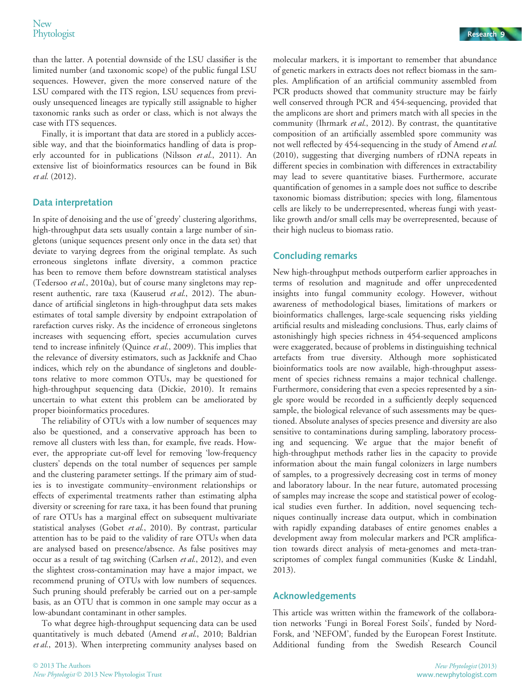than the latter. A potential downside of the LSU classifier is the limited number (and taxonomic scope) of the public fungal LSU sequences. However, given the more conserved nature of the LSU compared with the ITS region, LSU sequences from previously unsequenced lineages are typically still assignable to higher taxonomic ranks such as order or class, which is not always the case with ITS sequences.

Finally, it is important that data are stored in a publicly accessible way, and that the bioinformatics handling of data is properly accounted for in publications (Nilsson et al., 2011). An extensive list of bioinformatics resources can be found in Bik et al. (2012).

### Data interpretation

In spite of denoising and the use of 'greedy' clustering algorithms, high-throughput data sets usually contain a large number of singletons (unique sequences present only once in the data set) that deviate to varying degrees from the original template. As such erroneous singletons inflate diversity, a common practice has been to remove them before downstream statistical analyses (Tedersoo et al., 2010a), but of course many singletons may represent authentic, rare taxa (Kauserud et al., 2012). The abundance of artificial singletons in high-throughput data sets makes estimates of total sample diversity by endpoint extrapolation of rarefaction curves risky. As the incidence of erroneous singletons increases with sequencing effort, species accumulation curves tend to increase infinitely (Quince et al., 2009). This implies that the relevance of diversity estimators, such as Jackknife and Chao indices, which rely on the abundance of singletons and doubletons relative to more common OTUs, may be questioned for high-throughput sequencing data (Dickie, 2010). It remains uncertain to what extent this problem can be ameliorated by proper bioinformatics procedures.

The reliability of OTUs with a low number of sequences may also be questioned, and a conservative approach has been to remove all clusters with less than, for example, five reads. However, the appropriate cut-off level for removing 'low-frequency clusters' depends on the total number of sequences per sample and the clustering parameter settings. If the primary aim of studies is to investigate community–environment relationships or effects of experimental treatments rather than estimating alpha diversity or screening for rare taxa, it has been found that pruning of rare OTUs has a marginal effect on subsequent multivariate statistical analyses (Gobet et al., 2010). By contrast, particular attention has to be paid to the validity of rare OTUs when data are analysed based on presence/absence. As false positives may occur as a result of tag switching (Carlsen et al., 2012), and even the slightest cross-contamination may have a major impact, we recommend pruning of OTUs with low numbers of sequences. Such pruning should preferably be carried out on a per-sample basis, as an OTU that is common in one sample may occur as a low-abundant contaminant in other samples.

To what degree high-throughput sequencing data can be used quantitatively is much debated (Amend et al., 2010; Baldrian et al., 2013). When interpreting community analyses based on

molecular markers, it is important to remember that abundance of genetic markers in extracts does not reflect biomass in the samples. Amplification of an artificial community assembled from PCR products showed that community structure may be fairly well conserved through PCR and 454-sequencing, provided that the amplicons are short and primers match with all species in the community (Ihrmark et al., 2012). By contrast, the quantitative composition of an artificially assembled spore community was not well reflected by 454-sequencing in the study of Amend et al. (2010), suggesting that diverging numbers of rDNA repeats in different species in combination with differences in extractability may lead to severe quantitative biases. Furthermore, accurate quantification of genomes in a sample does not suffice to describe taxonomic biomass distribution; species with long, filamentous cells are likely to be underrepresented, whereas fungi with yeastlike growth and/or small cells may be overrepresented, because of their high nucleus to biomass ratio.

# Concluding remarks

New high-throughput methods outperform earlier approaches in terms of resolution and magnitude and offer unprecedented insights into fungal community ecology. However, without awareness of methodological biases, limitations of markers or bioinformatics challenges, large-scale sequencing risks yielding artificial results and misleading conclusions. Thus, early claims of astonishingly high species richness in 454-sequenced amplicons were exaggerated, because of problems in distinguishing technical artefacts from true diversity. Although more sophisticated bioinformatics tools are now available, high-throughput assessment of species richness remains a major technical challenge. Furthermore, considering that even a species represented by a single spore would be recorded in a sufficiently deeply sequenced sample, the biological relevance of such assessments may be questioned. Absolute analyses of species presence and diversity are also sensitive to contaminations during sampling, laboratory processing and sequencing. We argue that the major benefit of high-throughput methods rather lies in the capacity to provide information about the main fungal colonizers in large numbers of samples, to a progressively decreasing cost in terms of money and laboratory labour. In the near future, automated processing of samples may increase the scope and statistical power of ecological studies even further. In addition, novel sequencing techniques continually increase data output, which in combination with rapidly expanding databases of entire genomes enables a development away from molecular markers and PCR amplification towards direct analysis of meta-genomes and meta-transcriptomes of complex fungal communities (Kuske & Lindahl, 2013).

### Acknowledgements

This article was written within the framework of the collaboration networks 'Fungi in Boreal Forest Soils', funded by Nord-Forsk, and 'NEFOM', funded by the European Forest Institute. Additional funding from the Swedish Research Council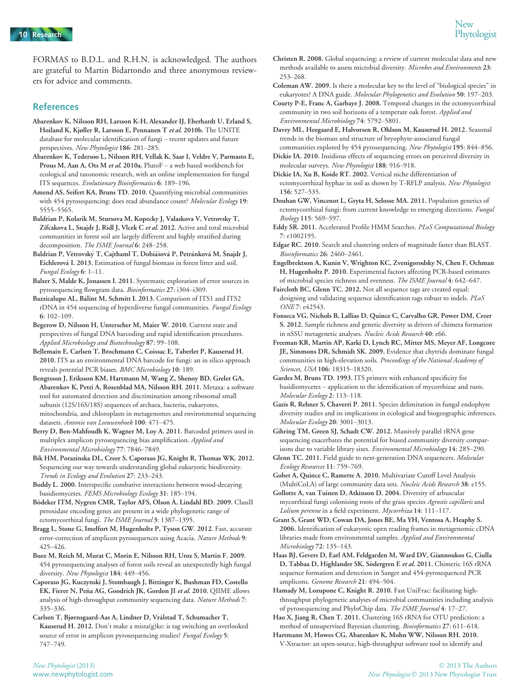FORMAS to B.D.L. and R.H.N. is acknowledged. The authors are grateful to Martin Bidartondo and three anonymous reviewers for advice and comments.

#### References

Abarenkov K, Nilsson RH, Larsson K-H, Alexander IJ, Eberhardt U, Erland S, Hoiland K, Kjøller R, Larsson E, Pennanen T et al. 2010b. The UNITE database for molecular identification of fungi – recent updates and future perspectives. New Phytologist 186: 281–285.

Abarenkov K, Tedersoo L, Nilsson RH, Vellak K, Saar I, Veldre V, Parmasto E, Prous M, Aan A, Ots M et al. 2010a. PlutoF - a web based workbench for ecological and taxonomic research, with an online implementation for fungal ITS sequences. Evolutionary Bioinformatics 6: 189–196.

Amend AS, Seifert KA, Bruns TD. 2010. Quantifying microbial communities with 454 pyrosequencing: does read abundance count? Molecular Ecology 19: 5555–5565.

Baldrian P, Kolarik M, Stursova M, Kopecky J, Valaskova V, Vetrovsky T, Zifcakova L, Snajdr J, Ridl J, Vlcek C et al. 2012. Active and total microbial communities in forest soil are largely different and highly stratified during decomposition. The ISME Journal 6: 248-258.

Baldrian P, Větrovský T, Cajthaml T, Dobiášová P, Petránková M, Šnajdr J, Eichlerova I. 2013. Estimation of fungal biomass in forest litter and soil. Fungal Ecology 6: 1–11.

Balzer S, Malde K, Jonassen I. 2011. Systematic exploration of error sources in pyrosequencing flowgram data. Bioinformatics 27: i304–i309.

Bazzicalupo AL, Balint M, Schmitt I. 2013. Comparison of ITS1 and ITS2 rDNA in 454 sequencing of hyperdiverse fungal communities. Fungal Ecology 6: 102–109.

Begerow D, Nilsson H, Unterseher M, Maier W. 2010. Current state and perspectives of fungal DNA barcoding and rapid identification procedures. Applied Microbiology and Biotechnology 87: 99–108.

Bellemain E, Carlsen T, Brochmann C, Coissac E, Taberlet P, Kauserud H. 2010. ITS as an environmental DNA barcode for fungi: an in silico approach reveals potential PCR biases. BMC Microbiology 10: 189.

Bengtsson J, Eriksson KM, Hartmann M, Wang Z, Shenoy BD, Grelet GA, Abarenkov K, Petri A, Rosenblad MA, Nilsson RH. 2011. Metaxa: a software tool for automated detection and discrimination among ribosomal small subunit (12S/16S/18S) sequences of archaea, bacteria, eukaryotes, mitochondria, and chloroplasts in metagenomes and environmental sequencing datasets. Antonie van Leeuwenhoek 100: 471–475.

Berry D, Ben-Mahfoudh K, Wagner M, Loy A. 2011. Barcoded primers used in multiplex amplicon pyrosequencing bias amplification. Applied and Environmental Microbiology 77: 7846–7849.

Bik HM, Porazinska DL, Creer S, Caporaso JG, Knight R, Thomas WK. 2012. Sequencing our way towards understanding global eukaryotic biodiversity. Trends in Ecology and Evolution 27: 233–243.

Boddy L. 2000. Interspecific combative interactions between wood-decaying basidiomycetes. FEMS Microbiology Ecology 31: 185–194.

Bödeker ITM, Nygren CMR, Taylor AFS, Olson Å, Lindahl BD. 2009. ClassII peroxidase encoding genes are present in a wide phylogenetic range of ectomycorrhizal fungi. The ISME Journal 3: 1387-1395.

Bragg L, Stone G, Imelfort M, Hugenholtz P, Tyson GW. 2012. Fast, accurate error-correction of amplicon pyrosequences using Acacia. Nature Methods 9: 425–426.

Buee M, Reich M, Murat C, Morin E, Nilsson RH, Uroz S, Martin F. 2009. 454 pyrosequencing analyses of forest soils reveal an unexpectedly high fungal diversity. New Phytologist 184: 449-456.

Caporaso JG, Kuczynski J, Stombaugh J, Bittinger K, Bushman FD, Costello EK, Fierer N, Peña AG, Goodrich JK, Gordon JI et al. 2010. QIIME allows analysis of high-throughput community sequencing data. Nature Methods 7: 335–336.

Carlsen T, Bjørnsgaard-Aas A, Lindner D, Vralstad T, Schumacher T, Kauserud H. 2012. Don't make a mista(g)ke: is tag switching an overlooked source of error in amplicon pyrosequencing studies? Fungal Ecology 5: 747–749.

- Christen R. 2008. Global sequencing: a review of current molecular data and new methods available to assess microbial diversity. Microbes and Environments 23: 253–268.
- Coleman AW. 2009. Is there a molecular key to the level of "biological species" in eukaryotes? A DNA guide. Molecular Phylogenetics and Evolution 50: 197-203.

Courty P-E, Franc A, Garbaye J. 2008. Temporal changes in the ectomycorrhizal community in two soil horizons of a temperate oak forest. Applied and Environmental Microbiology 74: 5792–5801.

Davey ML, Heegaard E, Halvorsen R, Ohlson M, Kauserud H. 2012. Seasonal trends in the biomass and structure of bryophyte-associated fungal

communities explored by 454 pyrosequencing. New Phytologist 195: 844–856. Dickie IA. 2010. Insidious effects of sequencing errors on perceived diversity in molecular surveys. New Phytologist 188: 916–918.

Dickie IA, Xu B, Koide RT. 2002. Vertical niche differentiation of ectomycorrhizal hyphae in soil as shown by T-RFLP analysis. New Phytologist 156: 527–535.

Douhan GW, Vincenot L, Gryta H, Selosse MA. 2011. Population genetics of ectomycorrhizal fungi: from current knowledge to emerging directions. Fungal Biology 115: 569–597.

Eddy SR. 2011. Accelerated Profile HMM Searches. PLoS Computational Biology 7: e1002195.

Edgar RC. 2010. Search and clustering orders of magnitude faster than BLAST. Bioinformatics 26: 2460–2461.

Engelbrektson A, Kunin V, Wrighton KC, Zvenigorodsky N, Chen F, Ochman H, Hugenholtz P. 2010. Experimental factors affecting PCR-based estimates of microbial species richness and evenness. The ISME Journal 4: 642–647.

Faircloth BC, Glenn TC. 2012. Not all sequence tags are created equal: designing and validating sequence identification tags robust to indels. PLoS ONE 7: e42543.

Fonseca VG, Nichols B, Lallias D, Quince C, Carvalho GR, Power DM, Creer S. 2012. Sample richness and genetic diversity as drivers of chimera formation in nSSU metagenetic analyses. Nucleic Acids Research 40: e66.

Freeman KR, Martin AP, Karki D, Lynch RC, Mitter MS, Meyer AF, Longcore JE, Simmons DR, Schmidt SK. 2009. Evidence that chytrids dominate fungal communities in high-elevation soils. Proceedings of the National Academy of Sciences, USA 106: 18315-18320.

Gardes M, Bruns TD. 1993. ITS primers with enhanced specificity for basidiomycetes – application to the identification of mycorrhizae and rusts. Molecular Ecology 2: 113–118.

Gazis R, Rehner S, Chaverri P. 2011. Species delimitation in fungal endophyte diversity studies and its implications in ecological and biogeographic inferences. Molecular Ecology 20: 3001–3013.

Gihring TM, Green SJ, Schadt CW. 2012. Massively parallel rRNA gene sequencing exacerbates the potential for biased community diversity comparisons due to variable library sizes. Environmental Microbiology 14: 285–290.

Glenn TC. 2011. Field guide to next-generation DNA sequencers. Molecular Ecology Resources 11: 759–769.

Gobet A, Quince C, Ramette A. 2010. Multivariate Cutoff Level Analysis (MultiCoLA) of large community data sets. Nucleic Acids Research 38: e155.

Gollotte A, van Tuinen D, Atkinson D. 2004. Diversity of arbuscular mycorrhizal fungi colonising roots of the grass species Agrostis capillaris and Lolium perenne in a field experiment. Mycorrhiza 14: 111–117.

Grant S, Grant WD, Cowan DA, Jones BE, Ma YH, Ventosa A, Heaphy S. 2006. Identification of eukaryotic open reading frames in metagenomic cDNA libraries made from environmental samples. Applied and Environmental Microbiology 72: 135–143.

Haas BJ, Gevers D, Earl AM, Feldgarden M, Ward DV, Giannoukos G, Ciulla D, Tabbaa D, Highlander SK, Södergren E et al. 2011. Chimeric 16S rRNA sequence formation and detection in Sanger and 454-pyrosequenced PCR amplicons. Genome Research 21: 494-504.

Hamady M, Lozupone C, Knight R. 2010. Fast UniFrac: facilitating highthroughput phylogenetic analyses of microbial communities including analysis of pyrosequencing and PhyloChip data. The ISME Journal 4: 17–27.

Hao X, Jiang R, Chen T. 2011. Clustering 16S rRNA for OTU prediction: a method of unsupervised Bayesian clustering. Bioinformatics 27: 611–618.

Hartmann M, Howes CG, Abarenkov K, Mohn WW, Nilsson RH. 2010. V-Xtractor: an open-source, high-throughput software tool to identify and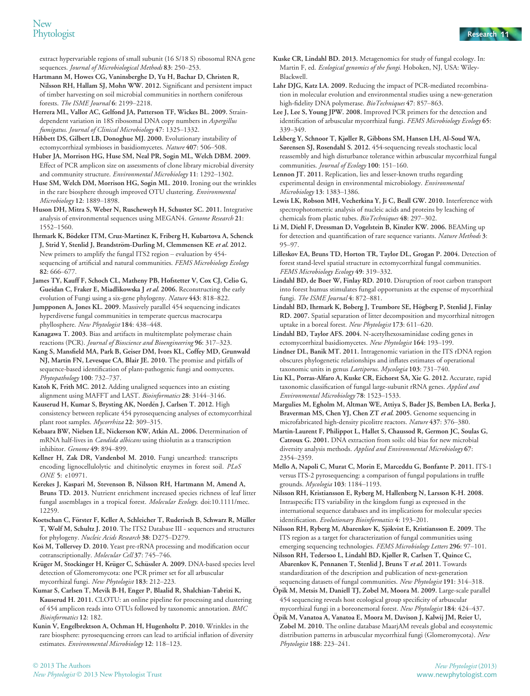extract hypervariable regions of small subunit (16 S/18 S) ribosomal RNA gene sequences. Journal of Microbiological Methods 83: 250–253.

Hartmann M, Howes CG, Vaninsberghe D, Yu H, Bachar D, Christen R, Nilsson RH, Hallam SJ, Mohn WW. 2012. Significant and persistent impact of timber harvesting on soil microbial communities in northern coniferous forests. The ISME Journal 6: 2199–2218.

Herrera ML, Vallor AC, Gelfond JA, Patterson TF, Wickes BL. 2009. Straindependent variation in 18S ribosomal DNA copy numbers in Aspergillus fumigatus. Journal of Clinical Microbiology 47: 1325–1332.

- Hibbett DS, Gilbert LB, Donoghue MJ. 2000. Evolutionary instability of ectomycorrhizal symbioses in basidiomycetes. Nature 407: 506–508.
- Huber JA, Morrison HG, Huse SM, Neal PR, Sogin ML, Welch DBM. 2009. Effect of PCR amplicon size on assessments of clone library microbial diversity and community structure. Environmental Microbiology 11: 1292–1302.
- Huse SM, Welch DM, Morrison HG, Sogin ML. 2010. Ironing out the wrinkles in the rare biosphere through improved OTU clustering. Environmental Microbiology 12: 1889–1898.

Huson DH, Mitra S, Weber N, Ruscheweyh H, Schuster SC. 2011. Integrative analysis of environmental sequences using MEGAN4. Genome Research 21: 1552–1560.

- Ihrmark K, Bödeker ITM, Cruz-Martinez K, Friberg H, Kubartova A, Schenck J, Strid Y, Stenlid J, Brandström-Durling M, Clemmensen KE et al. 2012. New primers to amplify the fungal ITS2 region – evaluation by 454 sequencing of artificial and natural communities. FEMS Microbiology Ecology 82: 666–677.
- James TY, Kauff F, Schoch CL, Matheny PB, Hofstetter V, Cox CJ, Celio G, Gueidan C, Fraker E, Miadlikowska J et al. 2006. Reconstructing the early evolution of Fungi using a six-gene phylogeny. Nature 443: 818–822.

Jumpponen A, Jones KL. 2009. Massively parallel 454 sequencing indicates hyperdiverse fungal communities in temperate quercus macrocarpa phyllosphere. New Phytologist 184: 438–448.

Kanagawa T. 2003. Bias and artifacts in multitemplate polymerase chain reactions (PCR). Journal of Bioscience and Bioengineering 96: 317–323.

Kang S, Mansfield MA, Park B, Geiser DM, Ivors KL, Coffey MD, Grunwald NJ, Martin FN, Levesque CA, Blair JE. 2010. The promise and pitfalls of sequence-based identification of plant-pathogenic fungi and oomycetes. Phytopathology 100: 732-737.

Katoh K, Frith MC. 2012. Adding unaligned sequences into an existing alignment using MAFFT and LAST. Bioinformatics 28: 3144–3146.

Kauserud H, Kumar S, Brysting AK, Nordén J, Carlsen T. 2012. High consistency between replicate 454 pyrosequencing analyses of ectomycorrhizal plant root samples. Mycorrhiza 22: 309–315.

- Kebaara BW, Nielsen LE, Nickerson KW, Atkin AL. 2006. Determination of mRNA half-lives in Candida albicans using thiolutin as a transcription inhibitor. Genome 49: 894–899.
- Kellner H, Zak DR, Vandenbol M. 2010. Fungi unearthed: transcripts encoding lignocellulolytic and chitinolytic enzymes in forest soil. PLoS ONE 5: e10971.

Kerekes J, Kaspari M, Stevenson B, Nilsson RH, Hartmann M, Amend A, Bruns TD. 2013. Nutrient enrichment increased species richness of leaf litter fungal assemblages in a tropical forest. Molecular Ecology. doi:10.1111/mec. 12259.

- Koetschan C, Förster F, Keller A, Schleicher T, Ruderisch B, Schwarz R, Müller T, Wolf M, Schultz J. 2010. The ITS2 Database III - sequences and structures for phylogeny. Nucleic Acids Research 38: D275–D279.
- Koš M, Tollervey D. 2010. Yeast pre-rRNA processing and modification occur cotranscriptionally. Molecular Cell 37: 745–746.

Krüger M, Stockinger H, Krüger C, Schüssler A. 2009. DNA-based species level detection of Glomeromycota: one PCR primer set for all arbuscular mycorrhizal fungi. New Phytologist 183: 212–223.

Kumar S, Carlsen T, Mevik B-H, Enger P, Blaalid R, Shalchian-Tabrizi K, Kauserud H. 2011. CLOTU: an online pipeline for processing and clustering of 454 amplicon reads into OTUs followed by taxonomic annotation. BMC Bioinformatics 12: 182.

Kunin V, Engelbrektson A, Ochman H, Hugenholtz P. 2010. Wrinkles in the rare biosphere: pyrosequencing errors can lead to artificial inflation of diversity estimates. Environmental Microbiology 12: 118–123.

- Lahr DJG, Katz LA. 2009. Reducing the impact of PCR-mediated recombination in molecular evolution and environmental studies using a new-generation high-fidelity DNA polymerase. BioTechniques 47: 857-863.
- Lee J, Lee S, Young JPW. 2008. Improved PCR primers for the detection and identification of arbuscular mycorrhizal fungi. FEMS Microbiology Ecology 65: 339–349.
- Lekberg Y, Schnoor T, Kjøller R, Gibbons SM, Hansen LH, Al-Soud WA, Sørensen SJ, Rosendahl S. 2012. 454-sequencing reveals stochastic local reassembly and high disturbance tolerance within arbuscular mycorrhizal fungal communities. Journal of Ecology 100: 151-160.
- Lennon JT. 2011. Replication, lies and lesser-known truths regarding experimental design in environmental microbiology. Environmental Microbiology 13: 1383–1386.

Lewis LK, Robson MH, Vecherkina Y, Ji C, Beall GW. 2010. Interference with spectrophotometric analysis of nucleic acids and proteins by leaching of chemicals from plastic tubes. BioTechniques 48: 297–302.

Li M, Diehl F, Dressman D, Vogelstein B, Kinzler KW. 2006. BEAMing up for detection and quantification of rare sequence variants. Nature Methods 3: 95–97.

Lilleskov EA, Bruns TD, Horton TR, Taylor DL, Grogan P. 2004. Detection of forest stand-level spatial structure in ectomycorrhizal fungal communities. FEMS Microbiology Ecology 49: 319–332.

Lindahl BD, de Boer W, Finlay RD. 2010. Disruption of root carbon transport into forest humus stimulates fungal opportunists at the expense of mycorrhizal fungi. The ISME Journal 4: 872-881.

- Lindahl BD, Ihrmark K, Boberg J, Trumbore SE, Högberg P, Stenlid J, Finlay RD. 2007. Spatial separation of litter decomposition and mycorrhizal nitrogen uptake in a boreal forest. New Phytologist 173: 611–620.
- Lindahl BD, Taylor AFS. 2004. N-acetylhexosaminidase coding genes in ectomycorrhizal basidiomycetes. New Phytologist 164: 193-199.
- Lindner DL, Banik MT. 2011. Intragenomic variation in the ITS rDNA region obscures phylogenetic relationships and inflates estimates of operational taxonomic units in genus Laetiporus. Mycologia 103: 731–740.
- Liu KL, Porras-Alfaro A, Kuske CR, Eichorst SA, Xie G. 2012. Accurate, rapid taxonomic classification of fungal large-subunit rRNA genes. Applied and Environmental Microbiology 78: 1523–1533.
- Margulies M, Egholm M, Altman WE, Attiya S, Bader JS, Bemben LA, Berka J, Braverman MS, Chen YJ, Chen ZT et al. 2005. Genome sequencing in microfabricated high-density picolitre reactors. Nature 437: 376–380.
- Martin-Laurent F, Philippot L, Hallet S, Chaussod R, Germon JC, Soulas G, Catroux G. 2001. DNA extraction from soils: old bias for new microbial diversity analysis methods. Applied and Environmental Microbiology 67: 2354–2359.
- Mello A, Napoli C, Murat C, Morin E, Marceddu G, Bonfante P. 2011. ITS-1 versus ITS-2 pyrosequencing: a comparison of fungal populations in truffle grounds. Mycologia 103: 1184–1193.

Nilsson RH, Kristiansson E, Ryberg M, Hallenberg N, Larsson K-H. 2008. Intraspecific ITS variability in the kingdom fungi as expressed in the international sequence databases and its implications for molecular species identification. Evolutionary Bioinformatics 4: 193–201.

Nilsson RH, Ryberg M, Abarenkov K, Sjökvist E, Kristiansson E. 2009. The ITS region as a target for characterization of fungal communities using emerging sequencing technologies. FEMS Microbiology Letters 296: 97-101.

Nilsson RH, Tedersoo L, Lindahl BD, Kjøller R, Carlsen T, Quince C, Abarenkov K, Pennanen T, Stenlid J, Bruns T et al. 2011. Towards standardization of the description and publication of next-generation sequencing datasets of fungal communities. New Phytologist 191: 314-318.

- Opik M, Metsis M, Daniell TJ, Zobel M, Moora M. 2009. Large-scale parallel 454 sequencing reveals host ecological group specificity of arbuscular mycorrhizal fungi in a boreonemoral forest. New Phytologist 184: 424–437.
- Opik M, Vanatoa A, Vanatoa E, Moora M, Davison J, Kalwij JM, Reier U, € Zobel M. 2010. The online database MaarjAM reveals global and ecosystemic distribution patterns in arbuscular mycorrhizal fungi (Glomeromycota). New Phytologist 188: 223–241.